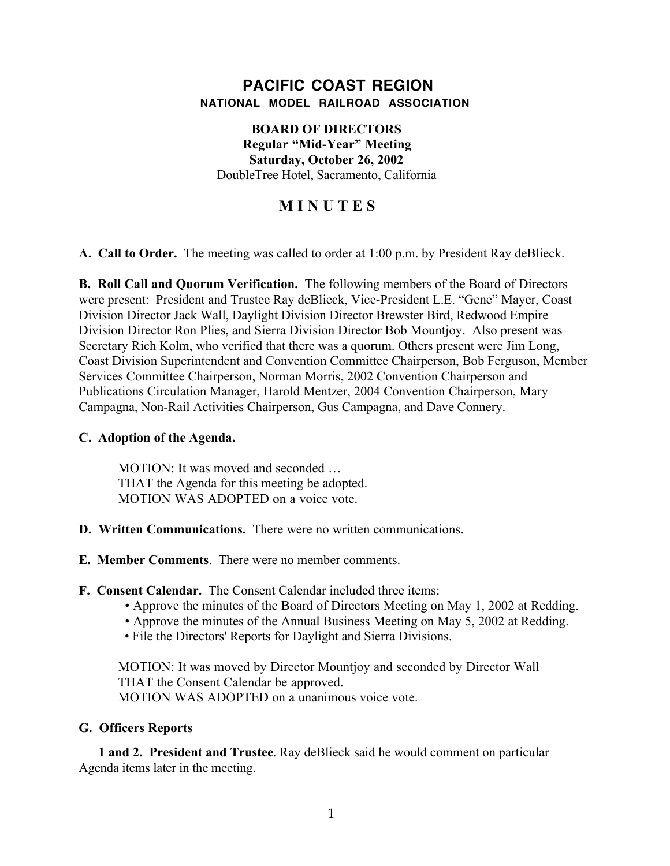## **PACIFIC COAST REGION NATIONAL MODEL RAILROAD ASSOCIATION**

## **BOARD OF DIRECTORS Regular "Mid-Year" Meeting Saturday, October 26, 2002** DoubleTree Hotel, Sacramento, California

# **M I N U T E S**

**A. Call to Order.** The meeting was called to order at 1:00 p.m. by President Ray deBlieck.

**B. Roll Call and Quorum Verification.** The following members of the Board of Directors were present: President and Trustee Ray deBlieck, Vice-President L.E. "Gene" Mayer, Coast Division Director Jack Wall, Daylight Division Director Brewster Bird, Redwood Empire Division Director Ron Plies, and Sierra Division Director Bob Mountjoy. Also present was Secretary Rich Kolm, who verified that there was a quorum. Others present were Jim Long, Coast Division Superintendent and Convention Committee Chairperson, Bob Ferguson, Member Services Committee Chairperson, Norman Morris, 2002 Convention Chairperson and Publications Circulation Manager, Harold Mentzer, 2004 Convention Chairperson, Mary Campagna, Non-Rail Activities Chairperson, Gus Campagna, and Dave Connery.

## **C. Adoption of the Agenda.**

MOTION: It was moved and seconded … THAT the Agenda for this meeting be adopted. MOTION WAS ADOPTED on a voice vote.

- **D. Written Communications.** There were no written communications.
- **E. Member Comments**. There were no member comments.
- **F. Consent Calendar.** The Consent Calendar included three items:
	- Approve the minutes of the Board of Directors Meeting on May 1, 2002 at Redding.
	- Approve the minutes of the Annual Business Meeting on May 5, 2002 at Redding.
	- File the Directors' Reports for Daylight and Sierra Divisions.

MOTION: It was moved by Director Mountjoy and seconded by Director Wall THAT the Consent Calendar be approved. MOTION WAS ADOPTED on a unanimous voice vote.

#### **G. Officers Reports**

**1 and 2. President and Trustee**. Ray deBlieck said he would comment on particular Agenda items later in the meeting.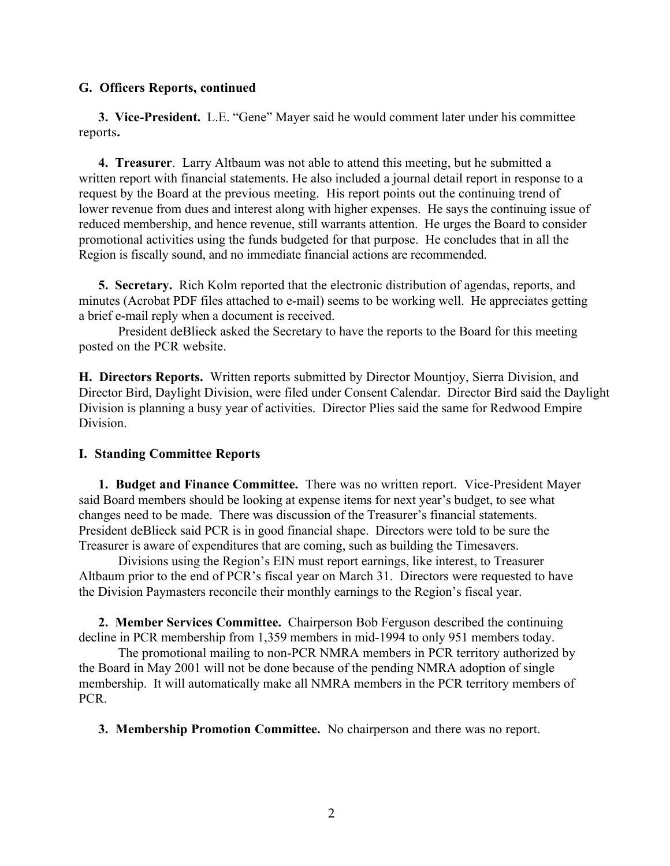#### **G. Officers Reports, continued**

**3. Vice-President.** L.E. "Gene" Mayer said he would comment later under his committee reports**.**

**4. Treasurer**. Larry Altbaum was not able to attend this meeting, but he submitted a written report with financial statements. He also included a journal detail report in response to a request by the Board at the previous meeting. His report points out the continuing trend of lower revenue from dues and interest along with higher expenses. He says the continuing issue of reduced membership, and hence revenue, still warrants attention. He urges the Board to consider promotional activities using the funds budgeted for that purpose. He concludes that in all the Region is fiscally sound, and no immediate financial actions are recommended.

**5. Secretary.** Rich Kolm reported that the electronic distribution of agendas, reports, and minutes (Acrobat PDF files attached to e-mail) seems to be working well. He appreciates getting a brief e-mail reply when a document is received.

President deBlieck asked the Secretary to have the reports to the Board for this meeting posted on the PCR website.

**H. Directors Reports.** Written reports submitted by Director Mountjoy, Sierra Division, and Director Bird, Daylight Division, were filed under Consent Calendar. Director Bird said the Daylight Division is planning a busy year of activities. Director Plies said the same for Redwood Empire **Division** 

#### **I. Standing Committee Reports**

**1. Budget and Finance Committee.** There was no written report. Vice-President Mayer said Board members should be looking at expense items for next year's budget, to see what changes need to be made. There was discussion of the Treasurer's financial statements. President deBlieck said PCR is in good financial shape. Directors were told to be sure the Treasurer is aware of expenditures that are coming, such as building the Timesavers.

Divisions using the Region's EIN must report earnings, like interest, to Treasurer Altbaum prior to the end of PCR's fiscal year on March 31. Directors were requested to have the Division Paymasters reconcile their monthly earnings to the Region's fiscal year.

**2. Member Services Committee.** Chairperson Bob Ferguson described the continuing decline in PCR membership from 1,359 members in mid-1994 to only 951 members today.

The promotional mailing to non-PCR NMRA members in PCR territory authorized by the Board in May 2001 will not be done because of the pending NMRA adoption of single membership. It will automatically make all NMRA members in the PCR territory members of PCR.

**3. Membership Promotion Committee.** No chairperson and there was no report.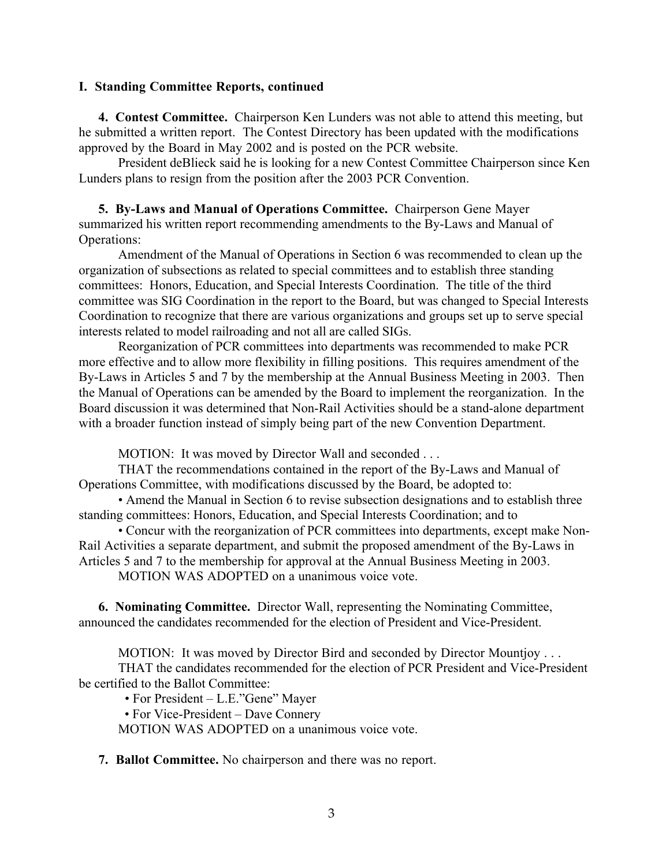#### **I. Standing Committee Reports, continued**

**4. Contest Committee.** Chairperson Ken Lunders was not able to attend this meeting, but he submitted a written report. The Contest Directory has been updated with the modifications approved by the Board in May 2002 and is posted on the PCR website.

President deBlieck said he is looking for a new Contest Committee Chairperson since Ken Lunders plans to resign from the position after the 2003 PCR Convention.

**5. By-Laws and Manual of Operations Committee.** Chairperson Gene Mayer summarized his written report recommending amendments to the By-Laws and Manual of Operations:

Amendment of the Manual of Operations in Section 6 was recommended to clean up the organization of subsections as related to special committees and to establish three standing committees: Honors, Education, and Special Interests Coordination. The title of the third committee was SIG Coordination in the report to the Board, but was changed to Special Interests Coordination to recognize that there are various organizations and groups set up to serve special interests related to model railroading and not all are called SIGs.

Reorganization of PCR committees into departments was recommended to make PCR more effective and to allow more flexibility in filling positions. This requires amendment of the By-Laws in Articles 5 and 7 by the membership at the Annual Business Meeting in 2003. Then the Manual of Operations can be amended by the Board to implement the reorganization. In the Board discussion it was determined that Non-Rail Activities should be a stand-alone department with a broader function instead of simply being part of the new Convention Department.

MOTION: It was moved by Director Wall and seconded . . .

THAT the recommendations contained in the report of the By-Laws and Manual of Operations Committee, with modifications discussed by the Board, be adopted to:

• Amend the Manual in Section 6 to revise subsection designations and to establish three standing committees: Honors, Education, and Special Interests Coordination; and to

• Concur with the reorganization of PCR committees into departments, except make Non-Rail Activities a separate department, and submit the proposed amendment of the By-Laws in Articles 5 and 7 to the membership for approval at the Annual Business Meeting in 2003.

MOTION WAS ADOPTED on a unanimous voice vote.

**6. Nominating Committee.** Director Wall, representing the Nominating Committee, announced the candidates recommended for the election of President and Vice-President.

MOTION: It was moved by Director Bird and seconded by Director Mountjoy . . .

THAT the candidates recommended for the election of PCR President and Vice-President be certified to the Ballot Committee:

• For President – L.E."Gene" Mayer

• For Vice-President – Dave Connery

MOTION WAS ADOPTED on a unanimous voice vote.

**7. Ballot Committee.** No chairperson and there was no report.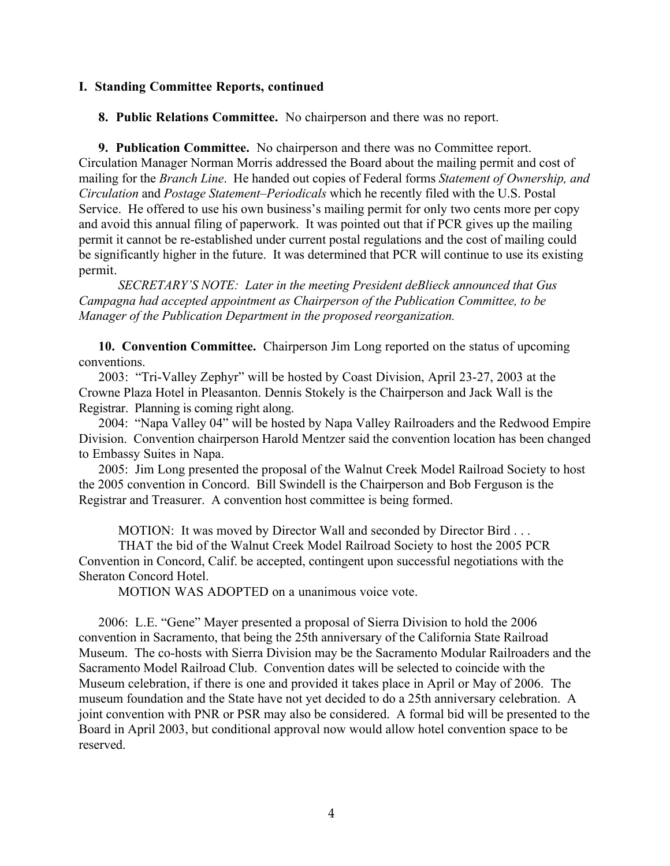#### **I. Standing Committee Reports, continued**

**8. Public Relations Committee.** No chairperson and there was no report.

**9. Publication Committee.** No chairperson and there was no Committee report. Circulation Manager Norman Morris addressed the Board about the mailing permit and cost of mailing for the *Branch Line*. He handed out copies of Federal forms *Statement of Ownership, and Circulation* and *Postage Statement–Periodicals* which he recently filed with the U.S. Postal Service. He offered to use his own business's mailing permit for only two cents more per copy and avoid this annual filing of paperwork. It was pointed out that if PCR gives up the mailing permit it cannot be re-established under current postal regulations and the cost of mailing could be significantly higher in the future. It was determined that PCR will continue to use its existing permit.

*SECRETARY'S NOTE: Later in the meeting President deBlieck announced that Gus Campagna had accepted appointment as Chairperson of the Publication Committee, to be Manager of the Publication Department in the proposed reorganization.*

**10. Convention Committee.** Chairperson Jim Long reported on the status of upcoming conventions.

2003: "Tri-Valley Zephyr" will be hosted by Coast Division, April 23-27, 2003 at the Crowne Plaza Hotel in Pleasanton. Dennis Stokely is the Chairperson and Jack Wall is the Registrar. Planning is coming right along.

2004: "Napa Valley 04" will be hosted by Napa Valley Railroaders and the Redwood Empire Division. Convention chairperson Harold Mentzer said the convention location has been changed to Embassy Suites in Napa.

2005: Jim Long presented the proposal of the Walnut Creek Model Railroad Society to host the 2005 convention in Concord. Bill Swindell is the Chairperson and Bob Ferguson is the Registrar and Treasurer. A convention host committee is being formed.

MOTION: It was moved by Director Wall and seconded by Director Bird . . .

THAT the bid of the Walnut Creek Model Railroad Society to host the 2005 PCR Convention in Concord, Calif. be accepted, contingent upon successful negotiations with the Sheraton Concord Hotel.

MOTION WAS ADOPTED on a unanimous voice vote.

2006: L.E. "Gene" Mayer presented a proposal of Sierra Division to hold the 2006 convention in Sacramento, that being the 25th anniversary of the California State Railroad Museum. The co-hosts with Sierra Division may be the Sacramento Modular Railroaders and the Sacramento Model Railroad Club. Convention dates will be selected to coincide with the Museum celebration, if there is one and provided it takes place in April or May of 2006. The museum foundation and the State have not yet decided to do a 25th anniversary celebration. A joint convention with PNR or PSR may also be considered. A formal bid will be presented to the Board in April 2003, but conditional approval now would allow hotel convention space to be reserved.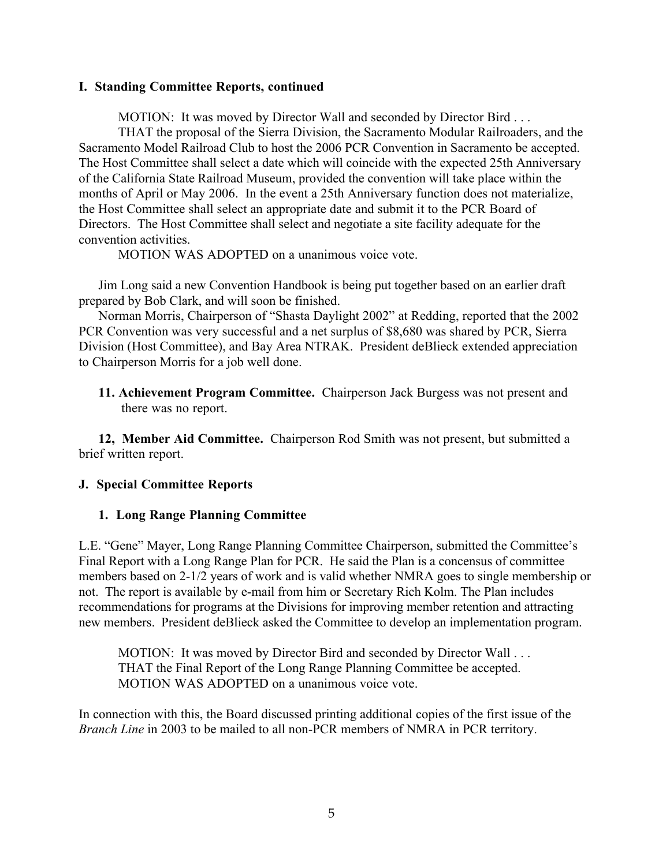#### **I. Standing Committee Reports, continued**

MOTION: It was moved by Director Wall and seconded by Director Bird . . .

THAT the proposal of the Sierra Division, the Sacramento Modular Railroaders, and the Sacramento Model Railroad Club to host the 2006 PCR Convention in Sacramento be accepted. The Host Committee shall select a date which will coincide with the expected 25th Anniversary of the California State Railroad Museum, provided the convention will take place within the months of April or May 2006. In the event a 25th Anniversary function does not materialize, the Host Committee shall select an appropriate date and submit it to the PCR Board of Directors. The Host Committee shall select and negotiate a site facility adequate for the convention activities.

MOTION WAS ADOPTED on a unanimous voice vote.

Jim Long said a new Convention Handbook is being put together based on an earlier draft prepared by Bob Clark, and will soon be finished.

Norman Morris, Chairperson of "Shasta Daylight 2002" at Redding, reported that the 2002 PCR Convention was very successful and a net surplus of \$8,680 was shared by PCR, Sierra Division (Host Committee), and Bay Area NTRAK. President deBlieck extended appreciation to Chairperson Morris for a job well done.

**11. Achievement Program Committee.** Chairperson Jack Burgess was not present and there was no report.

**12, Member Aid Committee.** Chairperson Rod Smith was not present, but submitted a brief written report.

#### **J. Special Committee Reports**

#### **1. Long Range Planning Committee**

L.E. "Gene" Mayer, Long Range Planning Committee Chairperson, submitted the Committee's Final Report with a Long Range Plan for PCR. He said the Plan is a concensus of committee members based on 2-1/2 years of work and is valid whether NMRA goes to single membership or not. The report is available by e-mail from him or Secretary Rich Kolm. The Plan includes recommendations for programs at the Divisions for improving member retention and attracting new members. President deBlieck asked the Committee to develop an implementation program.

MOTION: It was moved by Director Bird and seconded by Director Wall . . . THAT the Final Report of the Long Range Planning Committee be accepted. MOTION WAS ADOPTED on a unanimous voice vote.

In connection with this, the Board discussed printing additional copies of the first issue of the *Branch Line* in 2003 to be mailed to all non-PCR members of NMRA in PCR territory.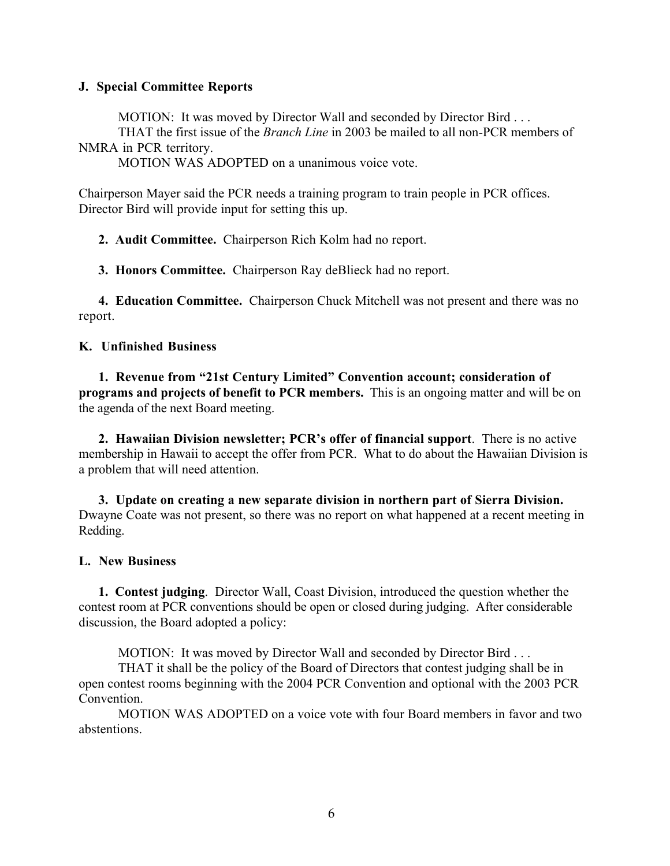## **J. Special Committee Reports**

MOTION: It was moved by Director Wall and seconded by Director Bird . . .

THAT the first issue of the *Branch Line* in 2003 be mailed to all non-PCR members of NMRA in PCR territory.

MOTION WAS ADOPTED on a unanimous voice vote.

Chairperson Mayer said the PCR needs a training program to train people in PCR offices. Director Bird will provide input for setting this up.

**2. Audit Committee.** Chairperson Rich Kolm had no report.

**3. Honors Committee.** Chairperson Ray deBlieck had no report.

**4. Education Committee.** Chairperson Chuck Mitchell was not present and there was no report.

## **K. Unfinished Business**

**1. Revenue from "21st Century Limited" Convention account; consideration of programs and projects of benefit to PCR members.** This is an ongoing matter and will be on the agenda of the next Board meeting.

**2. Hawaiian Division newsletter; PCR's offer of financial support**. There is no active membership in Hawaii to accept the offer from PCR. What to do about the Hawaiian Division is a problem that will need attention.

**3. Update on creating a new separate division in northern part of Sierra Division.** Dwayne Coate was not present, so there was no report on what happened at a recent meeting in Redding.

#### **L. New Business**

**1. Contest judging**. Director Wall, Coast Division, introduced the question whether the contest room at PCR conventions should be open or closed during judging. After considerable discussion, the Board adopted a policy:

MOTION: It was moved by Director Wall and seconded by Director Bird . . .

THAT it shall be the policy of the Board of Directors that contest judging shall be in open contest rooms beginning with the 2004 PCR Convention and optional with the 2003 PCR Convention.

MOTION WAS ADOPTED on a voice vote with four Board members in favor and two abstentions.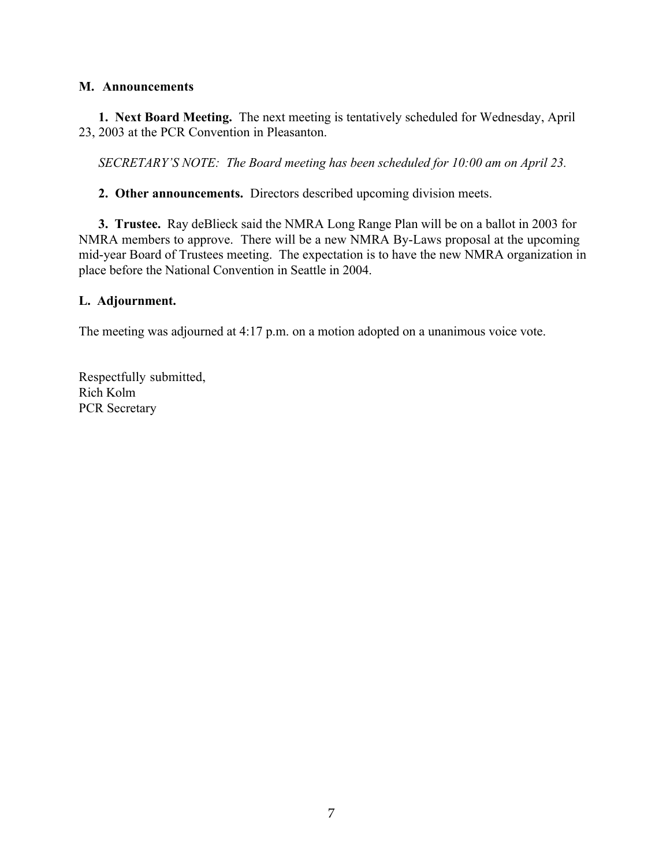## **M. Announcements**

**1. Next Board Meeting.** The next meeting is tentatively scheduled for Wednesday, April 23, 2003 at the PCR Convention in Pleasanton.

*SECRETARY'S NOTE: The Board meeting has been scheduled for 10:00 am on April 23.*

**2. Other announcements.** Directors described upcoming division meets.

**3. Trustee.** Ray deBlieck said the NMRA Long Range Plan will be on a ballot in 2003 for NMRA members to approve. There will be a new NMRA By-Laws proposal at the upcoming mid-year Board of Trustees meeting. The expectation is to have the new NMRA organization in place before the National Convention in Seattle in 2004.

## **L. Adjournment.**

The meeting was adjourned at 4:17 p.m. on a motion adopted on a unanimous voice vote.

Respectfully submitted, Rich Kolm PCR Secretary